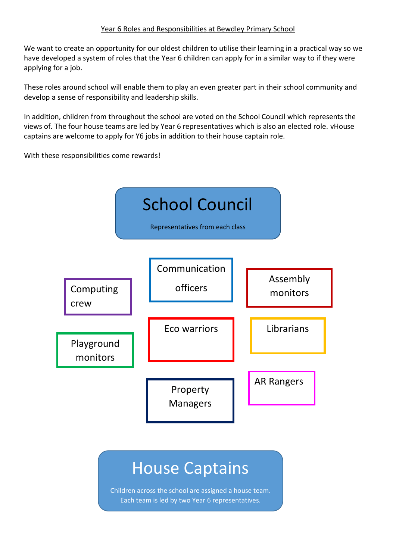## Year 6 Roles and Responsibilities at Bewdley Primary School

We want to create an opportunity for our oldest children to utilise their learning in a practical way so we have developed a system of roles that the Year 6 children can apply for in a similar way to if they were applying for a job.

These roles around school will enable them to play an even greater part in their school community and develop a sense of responsibility and leadership skills.

In addition, children from throughout the school are voted on the School Council which represents the views of. The four house teams are led by Year 6 representatives which is also an elected role. vHouse captains are welcome to apply for Y6 jobs in addition to their house captain role.

With these responsibilities come rewards!



Each team is led by two Year 6 representatives.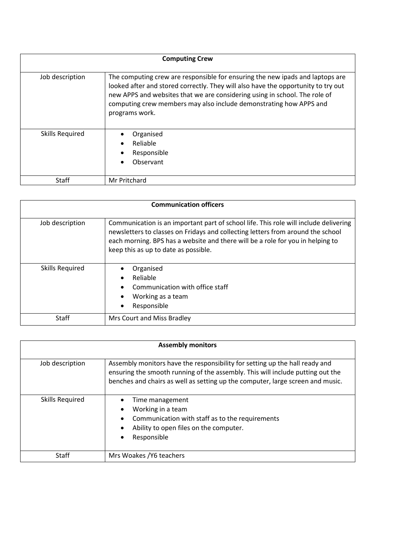| <b>Computing Crew</b>  |                                                                                                                                                                                                                                                                                                                                          |
|------------------------|------------------------------------------------------------------------------------------------------------------------------------------------------------------------------------------------------------------------------------------------------------------------------------------------------------------------------------------|
| Job description        | The computing crew are responsible for ensuring the new ipads and laptops are<br>looked after and stored correctly. They will also have the opportunity to try out<br>new APPS and websites that we are considering using in school. The role of<br>computing crew members may also include demonstrating how APPS and<br>programs work. |
| <b>Skills Required</b> | Organised<br>Reliable<br>Responsible<br>Observant                                                                                                                                                                                                                                                                                        |
| <b>Staff</b>           | Mr Pritchard                                                                                                                                                                                                                                                                                                                             |

| <b>Communication officers</b> |                                                                                                                                                                                                                                                                                                   |
|-------------------------------|---------------------------------------------------------------------------------------------------------------------------------------------------------------------------------------------------------------------------------------------------------------------------------------------------|
| Job description               | Communication is an important part of school life. This role will include delivering<br>newsletters to classes on Fridays and collecting letters from around the school<br>each morning. BPS has a website and there will be a role for you in helping to<br>keep this as up to date as possible. |
| <b>Skills Required</b>        | Organised<br>Reliable<br>Communication with office staff<br>Working as a team<br>Responsible                                                                                                                                                                                                      |
| Staff                         | Mrs Court and Miss Bradley                                                                                                                                                                                                                                                                        |

| <b>Assembly monitors</b> |                                                                                                                                                                                                                                                 |
|--------------------------|-------------------------------------------------------------------------------------------------------------------------------------------------------------------------------------------------------------------------------------------------|
| Job description          | Assembly monitors have the responsibility for setting up the hall ready and<br>ensuring the smooth running of the assembly. This will include putting out the<br>benches and chairs as well as setting up the computer, large screen and music. |
| <b>Skills Required</b>   | Time management<br>Working in a team<br>Communication with staff as to the requirements<br>Ability to open files on the computer.<br>Responsible                                                                                                |
| Staff                    | Mrs Woakes / Y6 teachers                                                                                                                                                                                                                        |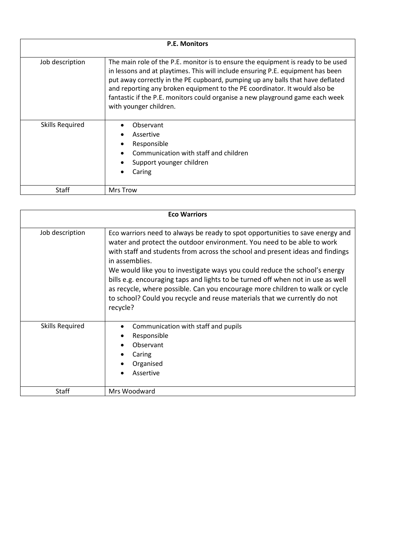| <b>P.E. Monitors</b> |                                                                                                                                                                                                                                                                                                                                                                                                                                                |
|----------------------|------------------------------------------------------------------------------------------------------------------------------------------------------------------------------------------------------------------------------------------------------------------------------------------------------------------------------------------------------------------------------------------------------------------------------------------------|
| Job description      | The main role of the P.E. monitor is to ensure the equipment is ready to be used<br>in lessons and at playtimes. This will include ensuring P.E. equipment has been<br>put away correctly in the PE cupboard, pumping up any balls that have deflated<br>and reporting any broken equipment to the PE coordinator. It would also be<br>fantastic if the P.E. monitors could organise a new playground game each week<br>with younger children. |
| Skills Required      | Observant<br>Assertive<br>Responsible<br>Communication with staff and children<br>Support younger children<br>Caring                                                                                                                                                                                                                                                                                                                           |
| Staff                | Mrs Trow                                                                                                                                                                                                                                                                                                                                                                                                                                       |

| <b>Eco Warriors</b>    |                                                                                                                                                                                                                                                                                                                                                                                                                                                                                                                                                                                                      |
|------------------------|------------------------------------------------------------------------------------------------------------------------------------------------------------------------------------------------------------------------------------------------------------------------------------------------------------------------------------------------------------------------------------------------------------------------------------------------------------------------------------------------------------------------------------------------------------------------------------------------------|
| Job description        | Eco warriors need to always be ready to spot opportunities to save energy and<br>water and protect the outdoor environment. You need to be able to work<br>with staff and students from across the school and present ideas and findings<br>in assemblies.<br>We would like you to investigate ways you could reduce the school's energy<br>bills e.g. encouraging taps and lights to be turned off when not in use as well<br>as recycle, where possible. Can you encourage more children to walk or cycle<br>to school? Could you recycle and reuse materials that we currently do not<br>recycle? |
| <b>Skills Required</b> | Communication with staff and pupils<br>Responsible<br>Observant<br>Caring<br>Organised<br>Assertive                                                                                                                                                                                                                                                                                                                                                                                                                                                                                                  |
| <b>Staff</b>           | Mrs Woodward                                                                                                                                                                                                                                                                                                                                                                                                                                                                                                                                                                                         |